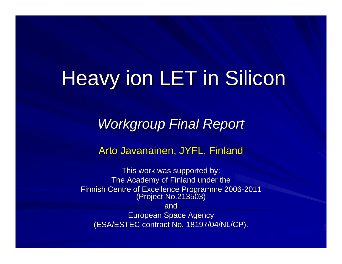## Heavy ion LET in Silicon

*Workgroup Final Report Workgroup Final Report*

Arto Javanainen, JYFL, Finland

This work was supported by: The Academy of Finland under the Finnish Centre of Excellence Programme 2006-2011<br>(Project No.213503) and European Space Agency European Space Agency (ESA/ESTEC contract No. 18197/04/NL/CP). (ESA/ESTEC contract No. 18197/04/NL/CP).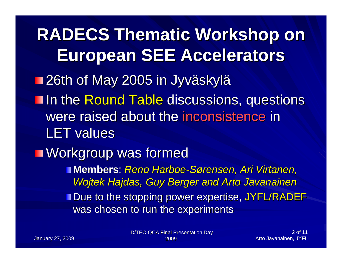**RADECS Thematic Workshop on European SEE Accelerators European SEE Accelerators 126th of May 2005 in Jyväskylä** In the Round Table discussions, questions<sub>,</sub> were raised about the inconsistence in **LET values Norkgroup was formed Members**: *Reno Harboe-Sørensen, Ari Virtanen, Wojtek Hajdas, Guy Berger and Arto Javanainen* **Due to the stopping power expertise, JYFL/RADEF** was chosen to run the experiments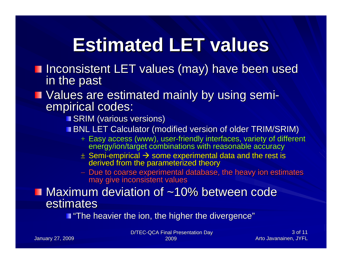## **Estimated LET values Estimated LET values**

Inconsistent LET values (may) have been used in the past

# **Nalues are estimated mainly by using semi-** empirical codes:

**SRIM** (various versions)

**BNL LET Calculator (modified version of older TRIM/SRIM)** 

- + Easy access (www), user-friendly interfaces, variety of different energy/ion/target combinations with reasonable accuracy
- $\pm$  Semi-empirical  $\rightarrow$  some experimental data and the rest is derived from the parameterized theory
- − Due to coarse experimental database, the heavy ion estimates<br>may give inconsistent values

#### $\blacksquare$  Maximum deviation of ~10% between code estimates

"The heavier the ion, the higher the divergence"

D/TEC-QCA Final Presentation Day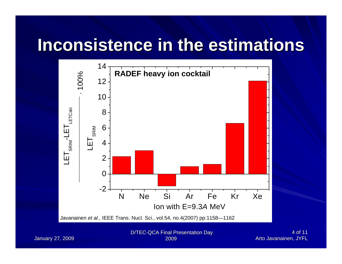### **Inconsistence in the estimations Inconsistence in the estimations**



January 27, 2009

2009

4 of 11 Arto Javanainen, JYFL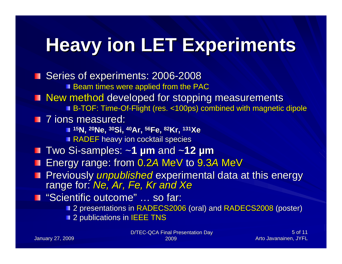## **Heavy ion LET Experiments Heavy ion LET Experiments**

**Series of experiments: 2006-2008 Beam times were applied from the PAC** New method developed for stopping measurements i B-TOF: Time-Of-Flight (res. <100ps) combined with magnetic dipole **1** 7 ions measured: **15N, 20Ne, 30Si, 40Ar, 56Fe, 82Kr, 131Xe** RADEF heavy ion cocktail species  $\blacksquare$  Two Si-samples:  $\sim$ 1  $\mu$ m and  $\sim$ 12  $\mu$ m ■ Energy range: from 0.2A MeV to 9.3A MeV **Previously** *unpublished* experimental data at this energy range for: *Ne, Ar, Fe, Kr and Xe* "Scientific outcome" … so far: **2 presentations in RADECS2006 (oral) and RADECS2008 (poster) 2** publications in IEEE TNS

> D/TEC-QCA Final Presentation Day 2009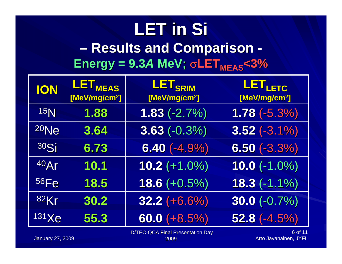#### **LET in Si – Results Results and Comparison Comparison -**  $Energy = 9.3A$  MeV;  $\sigma$ LET $_{MEAS}$ <3%

| <b>ION</b>      | LET <sub>MEAS</sub><br>[MeV/mg/cm <sup>2</sup> ] | LET <sub>SRIM</sub><br>[MeV/mg/cm <sup>2</sup> ] | LET <sub>LETC</sub><br>[MeV/mg/cm <sup>2</sup> ] |
|-----------------|--------------------------------------------------|--------------------------------------------------|--------------------------------------------------|
| 15 <sub>N</sub> | 1.88                                             | $1.83(-2.7%)$                                    | $1.78(-5.3%)$                                    |
| $20$ Ne         | 3.64                                             | $3.63 (-0.3%)$                                   | $3.52(-3.1\%)$                                   |
| 30Si            | 6.73                                             | $6.40(-4.9%)$                                    | $6.50(-3.3%)$                                    |
| 40Ar            | 10.1                                             | $10.2 (+1.0%)$                                   | $10.0(-1.0\%)$                                   |
| <b>56Fe</b>     | 18.5                                             | $18.6 (+0.5%)$                                   | $18.3(-1.1\%)$                                   |
| 82Kr            | 30.2                                             | $32.2 (+6.6%)$                                   | $30.0 (-0.7%)$                                   |
| 131 Xe          | 55.3                                             | $60.0 (+8.5%)$                                   | $52.8$ $(-4.5\%)$                                |

D/TEC-QCA Final Presentation Day

January 27, 2009

2009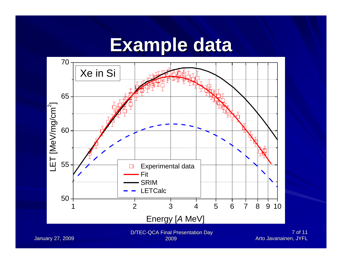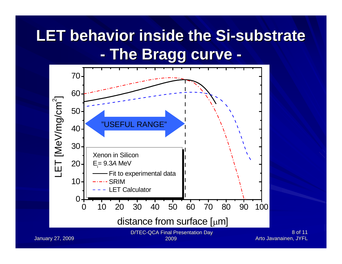#### **LET behavior inside the Si-substrate -The Bragg curve The Bragg curve -**



8 of 11 Arto Javanainen, JYFL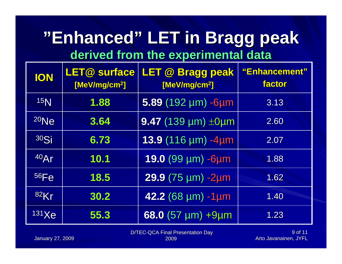### **"Enhanced Enhanced" LET in Bragg peak LET in Bragg peak derived from the experimental data derived from the experimental data**

| <b>ION</b>      | <b>LET@ surface</b><br>[MeV/mg/cm <sup>2</sup> ] | LET @ Bragg peak<br>[MeV/mg/cm <sup>2</sup> ]          | "Enhancement"<br>factor |
|-----------------|--------------------------------------------------|--------------------------------------------------------|-------------------------|
| 15 <sub>N</sub> | 1.88                                             | $5.89$ (192 µm) -6µm                                   | 3.13                    |
| $20$ Ne         | 3.64                                             | 9.47 (139 $\mu$ m) $\pm$ 0 $\mu$ m                     | 2.60                    |
| 30Si            | 6.73                                             | 13.9 (116 µm) -4µm                                     | 2.07                    |
| 40Ar            | 10.1                                             | 19.0 (99 µm) -6µm                                      | 1.88                    |
| 56Fe            | 18.5                                             | $29.9(75 \text{ }\mu\text{m}) - 2 \text{ }\mu\text{m}$ | 1.62                    |
| <b>82Kr</b>     | 30.2                                             | 42.2 (68 µm) -1µm                                      | 1.40                    |
| 131 Xe          | 55.3                                             | $68.0$ (57 µm) +9µm                                    | 1.23                    |

D/TEC-QCA Final Presentation Day

January 27, 2009

2009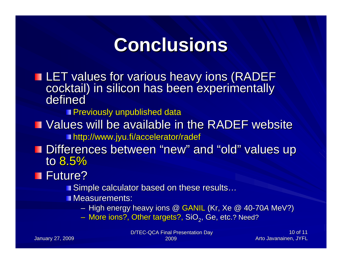### **Conclusions Conclusions**

LET values for various heavy ions (RADEF cocktail) in silicon has been experimentally defined

**Previously unpublished data** 

- Values will be available in the RADEF website **http://www.jyu.fi/accelerator/radef**
- **Differences between "new" and "old" values up Values** up to 8.5%

Future?

■ Simple calculator based on these results…

**Measurements:** 

– High energy heavy ions @ GANIL (Kr, Xe @ 40-70*A* MeV?)

– More ions?, Other targets?, SiO $_{2}$ , Ge, etc.? Need?

D/TEC-QCA Final Presentation Day 2009

10 of 11 Arto Javanainen, JYFL